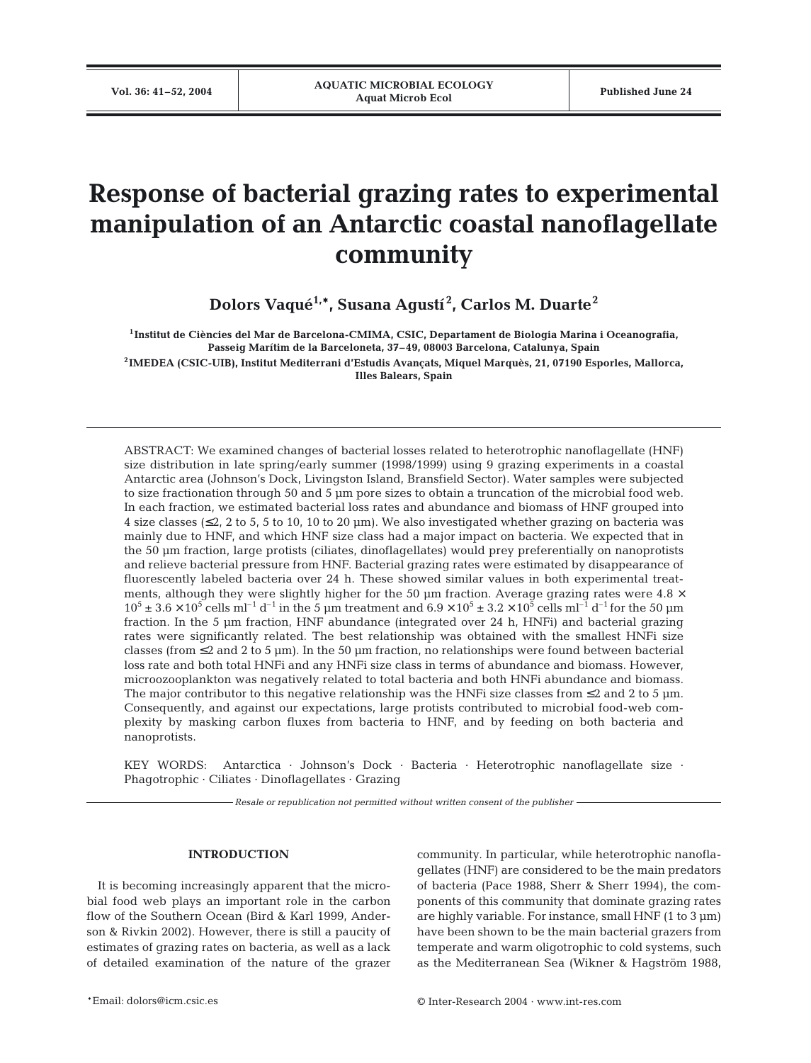# **Response of bacterial grazing rates to experimental manipulation of an Antarctic coastal nanoflagellate community**

**Dolors Vaqué1,\*, Susana Agustí <sup>2</sup> , Carlos M. Duarte<sup>2</sup>**

**1Institut de Ciències del Mar de Barcelona-CMIMA, CSIC, Departament de Biologia Marina i Oceanografia, Passeig Marítim de la Barceloneta, 37–49, 08003 Barcelona, Catalunya, Spain 2IMEDEA (CSIC-UIB), Institut Mediterrani d'Estudis Avançats, Miquel Marquès, 21, 07190 Esporles, Mallorca,** 

**Illes Balears, Spain**

ABSTRACT: We examined changes of bacterial losses related to heterotrophic nanoflagellate (HNF) size distribution in late spring/early summer (1998/1999) using 9 grazing experiments in a coastal Antarctic area (Johnson's Dock, Livingston Island, Bransfield Sector). Water samples were subjected to size fractionation through 50 and 5 µm pore sizes to obtain a truncation of the microbial food web. In each fraction, we estimated bacterial loss rates and abundance and biomass of HNF grouped into 4 size classes ( $\leq$ 2, 2 to 5, 5 to 10, 10 to 20 µm). We also investigated whether grazing on bacteria was mainly due to HNF, and which HNF size class had a major impact on bacteria. We expected that in the 50 µm fraction, large protists (ciliates, dinoflagellates) would prey preferentially on nanoprotists and relieve bacterial pressure from HNF. Bacterial grazing rates were estimated by disappearance of fluorescently labeled bacteria over 24 h. These showed similar values in both experimental treatments, although they were slightly higher for the 50  $\mu$ m fraction. Average grazing rates were 4.8  $\times$  $10^5 \pm 3.6 \times 10^5$  cells ml<sup>-1</sup> d<sup>-1</sup> in the 5 µm treatment and  $6.9 \times 10^5 \pm 3.2 \times 10^5$  cells ml<sup>-1</sup> d<sup>-1</sup> for the 50 µm fraction. In the 5 µm fraction, HNF abundance (integrated over 24 h, HNFi) and bacterial grazing rates were significantly related. The best relationship was obtained with the smallest HNFi size classes (from  $\leq$  2 and 2 to 5 µm). In the 50 µm fraction, no relationships were found between bacterial loss rate and both total HNFi and any HNFi size class in terms of abundance and biomass. However, microozooplankton was negatively related to total bacteria and both HNFi abundance and biomass. The major contributor to this negative relationship was the HNFi size classes from  $\leq 2$  and 2 to 5 µm. Consequently, and against our expectations, large protists contributed to microbial food-web complexity by masking carbon fluxes from bacteria to HNF, and by feeding on both bacteria and nanoprotists.

KEY WORDS: Antarctica · Johnson's Dock · Bacteria · Heterotrophic nanoflagellate size · Phagotrophic · Ciliates · Dinoflagellates · Grazing

*Resale or republication not permitted without written consent of the publisher*

# **INTRODUCTION**

It is becoming increasingly apparent that the microbial food web plays an important role in the carbon flow of the Southern Ocean (Bird & Karl 1999, Anderson & Rivkin 2002). However, there is still a paucity of estimates of grazing rates on bacteria, as well as a lack of detailed examination of the nature of the grazer community. In particular, while heterotrophic nanoflagellates (HNF) are considered to be the main predators of bacteria (Pace 1988, Sherr & Sherr 1994), the components of this community that dominate grazing rates are highly variable. For instance, small HNF (1 to 3 um) have been shown to be the main bacterial grazers from temperate and warm oligotrophic to cold systems, such as the Mediterranean Sea (Wikner & Hagström 1988,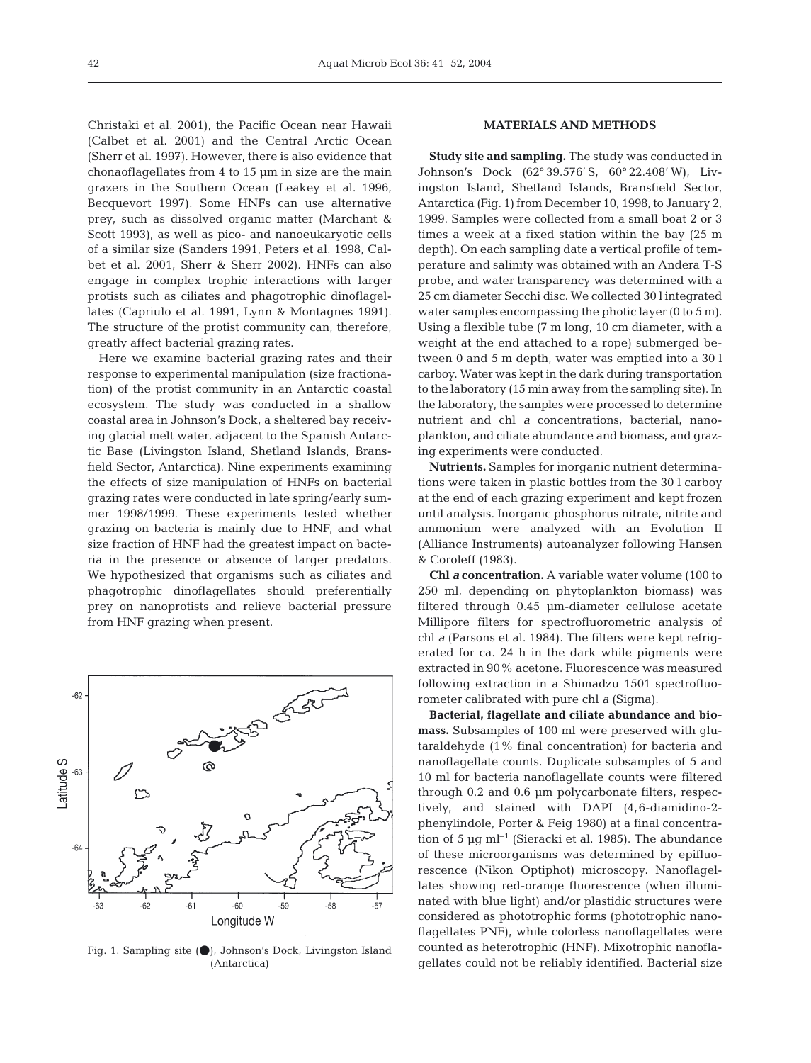Christaki et al. 2001), the Pacific Ocean near Hawaii (Calbet et al. 2001) and the Central Arctic Ocean (Sherr et al. 1997). However, there is also evidence that chonaoflagellates from 4 to 15 µm in size are the main grazers in the Southern Ocean (Leakey et al. 1996, Becquevort 1997). Some HNFs can use alternative prey, such as dissolved organic matter (Marchant & Scott 1993), as well as pico- and nanoeukaryotic cells of a similar size (Sanders 1991, Peters et al. 1998, Calbet et al. 2001, Sherr & Sherr 2002). HNFs can also engage in complex trophic interactions with larger protists such as ciliates and phagotrophic dinoflagellates (Capriulo et al. 1991, Lynn & Montagnes 1991). The structure of the protist community can, therefore, greatly affect bacterial grazing rates.

Here we examine bacterial grazing rates and their response to experimental manipulation (size fractionation) of the protist community in an Antarctic coastal ecosystem. The study was conducted in a shallow coastal area in Johnson's Dock, a sheltered bay receiving glacial melt water, adjacent to the Spanish Antarctic Base (Livingston Island, Shetland Islands, Bransfield Sector, Antarctica). Nine experiments examining the effects of size manipulation of HNFs on bacterial grazing rates were conducted in late spring/early summer 1998/1999. These experiments tested whether grazing on bacteria is mainly due to HNF, and what size fraction of HNF had the greatest impact on bacteria in the presence or absence of larger predators. We hypothesized that organisms such as ciliates and phagotrophic dinoflagellates should preferentially prey on nanoprotists and relieve bacterial pressure from HNF grazing when present.



Fig. 1. Sampling site  $($   $)$ , Johnson's Dock, Livingston Island (Antarctica)

## **MATERIALS AND METHODS**

**Study site and sampling.** The study was conducted in Johnson's Dock (62° 39.576' S, 60° 22.408' W), Livingston Island, Shetland Islands, Bransfield Sector, Antarctica (Fig. 1) from December 10, 1998, to January 2, 1999. Samples were collected from a small boat 2 or 3 times a week at a fixed station within the bay (25 m depth). On each sampling date a vertical profile of temperature and salinity was obtained with an Andera T-S probe, and water transparency was determined with a 25 cm diameter Secchi disc. We collected 30 l integrated water samples encompassing the photic layer (0 to 5 m). Using a flexible tube (7 m long, 10 cm diameter, with a weight at the end attached to a rope) submerged between 0 and 5 m depth, water was emptied into a 30 l carboy. Water was kept in the dark during transportation to the laboratory (15 min away from the sampling site). In the laboratory, the samples were processed to determine nutrient and chl *a* concentrations, bacterial, nanoplankton, and ciliate abundance and biomass, and grazing experiments were conducted.

**Nutrients.** Samples for inorganic nutrient determinations were taken in plastic bottles from the 30 l carboy at the end of each grazing experiment and kept frozen until analysis. Inorganic phosphorus nitrate, nitrite and ammonium were analyzed with an Evolution II (Alliance Instruments) autoanalyzer following Hansen & Coroleff (1983).

**Chl** *a* **concentration.** A variable water volume (100 to 250 ml, depending on phytoplankton biomass) was filtered through 0.45 µm-diameter cellulose acetate Millipore filters for spectrofluorometric analysis of chl *a* (Parsons et al. 1984). The filters were kept refrigerated for ca. 24 h in the dark while pigments were extracted in 90% acetone. Fluorescence was measured following extraction in a Shimadzu 1501 spectrofluorometer calibrated with pure chl *a* (Sigma).

**Bacterial, flagellate and ciliate abundance and biomass.** Subsamples of 100 ml were preserved with glutaraldehyde (1% final concentration) for bacteria and nanoflagellate counts. Duplicate subsamples of 5 and 10 ml for bacteria nanoflagellate counts were filtered through 0.2 and 0.6 µm polycarbonate filters, respectively, and stained with DAPI (4,6-diamidino-2 phenylindole, Porter & Feig 1980) at a final concentration of 5  $\mu$ g ml<sup>-1</sup> (Sieracki et al. 1985). The abundance of these microorganisms was determined by epifluorescence (Nikon Optiphot) microscopy. Nanoflagellates showing red-orange fluorescence (when illuminated with blue light) and/or plastidic structures were considered as phototrophic forms (phototrophic nanoflagellates PNF), while colorless nanoflagellates were counted as heterotrophic (HNF). Mixotrophic nanoflagellates could not be reliably identified. Bacterial size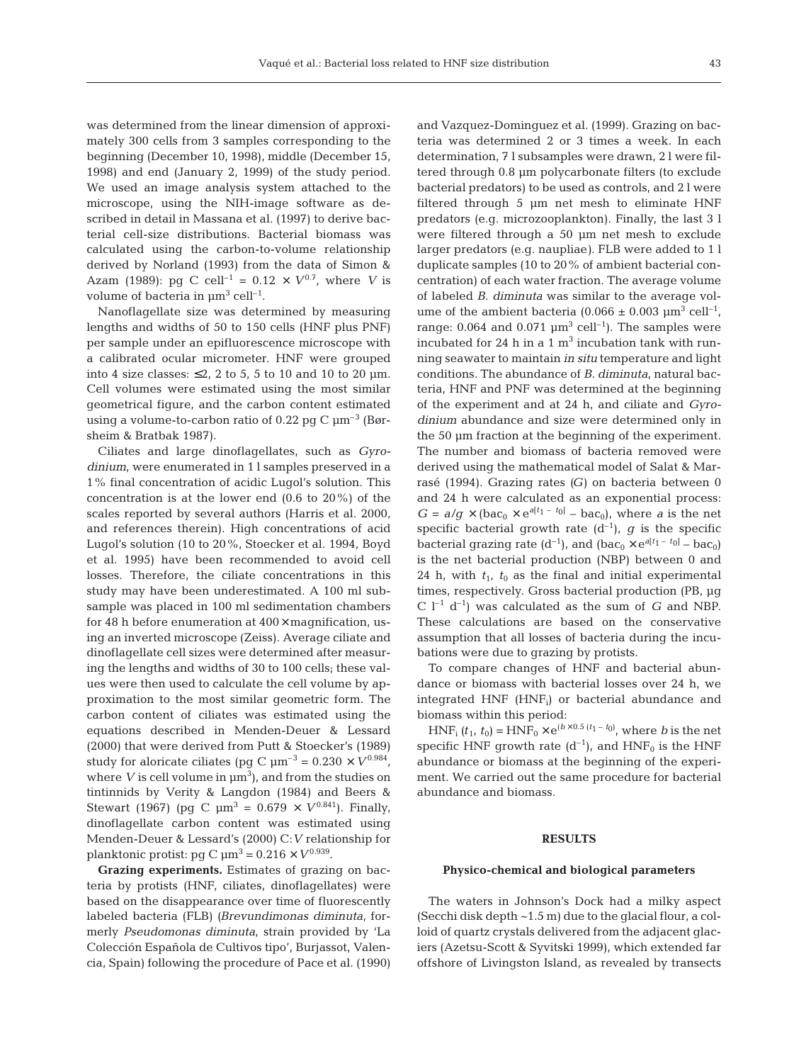was determined from the linear dimension of approximately 300 cells from 3 samples corresponding to the beginning (December 10, 1998), middle (December 15, 1998) and end (January 2, 1999) of the study period. We used an image analysis system attached to the microscope, using the NIH-image software as described in detail in Massana et al. (1997) to derive bacterial cell-size distributions. Bacterial biomass was calculated using the carbon-to-volume relationship derived by Norland (1993) from the data of Simon & Azam (1989): pg C cell<sup>-1</sup> = 0.12  $\times$   $V^{0.7}$ , where *V* is volume of bacteria in  $\mu$ m<sup>3</sup> cell<sup>-1</sup>.

Nanoflagellate size was determined by measuring lengths and widths of 50 to 150 cells (HNF plus PNF) per sample under an epifluorescence microscope with a calibrated ocular micrometer. HNF were grouped into 4 size classes:  $\leq 2$ , 2 to 5, 5 to 10 and 10 to 20 µm. Cell volumes were estimated using the most similar geometrical figure, and the carbon content estimated using a volume-to-carbon ratio of 0.22 pg C  $\mu$ m<sup>-3</sup> (Børsheim & Bratbak 1987).

Ciliates and large dinoflagellates, such as *Gyrodinium*, were enumerated in 1 l samples preserved in a 1% final concentration of acidic Lugol's solution. This concentration is at the lower end (0.6 to 20%) of the scales reported by several authors (Harris et al. 2000, and references therein). High concentrations of acid Lugol's solution (10 to 20%, Stoecker et al. 1994, Boyd et al. 1995) have been recommended to avoid cell losses. Therefore, the ciliate concentrations in this study may have been underestimated. A 100 ml subsample was placed in 100 ml sedimentation chambers for 48 h before enumeration at  $400\times$  magnification, using an inverted microscope (Zeiss). Average ciliate and dinoflagellate cell sizes were determined after measuring the lengths and widths of 30 to 100 cells; these values were then used to calculate the cell volume by approximation to the most similar geometric form. The carbon content of ciliates was estimated using the equations described in Menden-Deuer & Lessard (2000) that were derived from Putt & Stoecker's (1989) study for aloricate ciliates (pg C  $\mu$ m<sup>-3</sup> = 0.230 ×  $V^{0.984}$ , where  $V$  is cell volume in  $\mu$ m<sup>3</sup>), and from the studies on tintinnids by Verity & Langdon (1984) and Beers & Stewart (1967) (pg C  $\mu$ m<sup>3</sup> = 0.679 ×  $V^{0.841}$ ). Finally, dinoflagellate carbon content was estimated using Menden-Deuer & Lessard's (2000) C:*V* relationship for planktonic protist: pg C  $\mu$ m<sup>3</sup> = 0.216 ×  $V^{0.939}$ .

**Grazing experiments.** Estimates of grazing on bacteria by protists (HNF, ciliates, dinoflagellates) were based on the disappearance over time of fluorescently labeled bacteria (FLB) *(Brevundimonas diminuta,* formerly *Pseudomonas diminuta*, strain provided by 'La Colección Española de Cultivos tipo', Burjassot, Valencia, Spain) following the procedure of Pace et al. (1990)

and Vazquez-Dominguez et al. (1999). Grazing on bacteria was determined 2 or 3 times a week. In each determination, 7 l subsamples were drawn, 2 l were filtered through 0.8 µm polycarbonate filters (to exclude bacterial predators) to be used as controls, and 2 l were filtered through 5 µm net mesh to eliminate HNF predators (e.g. microzooplankton). Finally, the last 3 l were filtered through a 50 µm net mesh to exclude larger predators (e.g. naupliae*)*. FLB were added to 1 l duplicate samples (10 to 20% of ambient bacterial concentration) of each water fraction. The average volume of labeled *B. diminuta* was similar to the average volume of the ambient bacteria (0.066  $\pm$  0.003  $\mu$ m<sup>3</sup> cell<sup>-1</sup>, range: 0.064 and 0.071  $\mu$ m<sup>3</sup> cell<sup>-1</sup>). The samples were incubated for 24 h in a 1  $m<sup>3</sup>$  incubation tank with running seawater to maintain *in situ* temperature and light conditions. The abundance of *B. diminuta,* natural bacteria, HNF and PNF was determined at the beginning of the experiment and at 24 h, and ciliate and *Gyrodinium* abundance and size were determined only in the 50 µm fraction at the beginning of the experiment. The number and biomass of bacteria removed were derived using the mathematical model of Salat & Marrasé (1994). Grazing rates *(G)* on bacteria between 0 and 24 h were calculated as an exponential process:  $G = a/g \times (bac_0 \times e^{a[t_1 - t_0]} - bac_0)$ , where *a* is the net specific bacterial growth rate  $(d^{-1})$ , *g* is the specific bacterial grazing rate  $(d^{-1})$ , and  $(bac_0 \times e^{a[t_1 - t_0]} - bac_0)$ is the net bacterial production (NBP) between 0 and 24 h, with  $t_1$ ,  $t_0$  as the final and initial experimental times, respectively. Gross bacterial production (PB, µg  $C$  l<sup>-1</sup> d<sup>-1</sup>) was calculated as the sum of *G* and NBP. These calculations are based on the conservative assumption that all losses of bacteria during the incubations were due to grazing by protists.

To compare changes of HNF and bacterial abundance or biomass with bacterial losses over 24 h, we integrated  $HNF$  ( $HNF<sub>i</sub>$ ) or bacterial abundance and biomass within this period:

 $HNF_i$   $(t_1, t_0) = HNF_0 \times e^{(b \times 0.5 (t_1 - t_0))}$ , where *b* is the net specific HNF growth rate  $(d^{-1})$ , and HNF<sub>0</sub> is the HNF abundance or biomass at the beginning of the experiment. We carried out the same procedure for bacterial abundance and biomass.

# **RESULTS**

#### **Physico-chemical and biological parameters**

The waters in Johnson's Dock had a milky aspect (Secchi disk depth ~1.5 m) due to the glacial flour, a colloid of quartz crystals delivered from the adjacent glaciers (Azetsu-Scott & Syvitski 1999), which extended far offshore of Livingston Island, as revealed by transects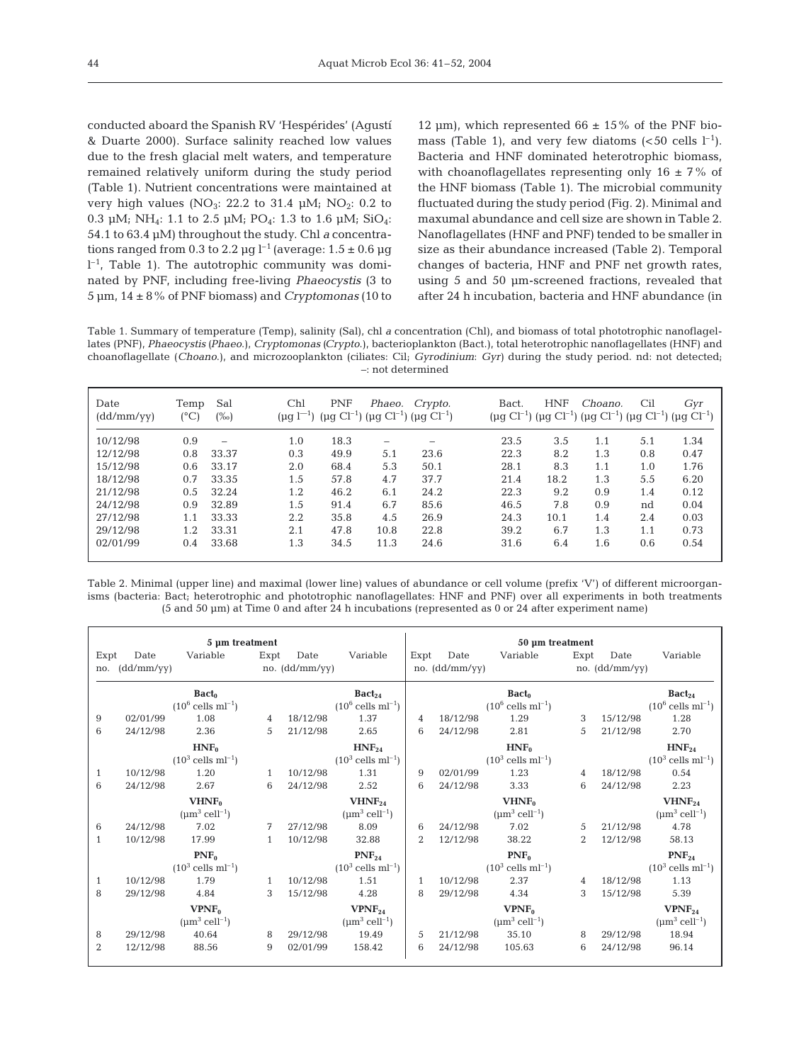conducted aboard the Spanish RV 'Hespérides' (Agustí & Duarte 2000). Surface salinity reached low values due to the fresh glacial melt waters, and temperature remained relatively uniform during the study period (Table 1). Nutrient concentrations were maintained at very high values (NO<sub>3</sub>: 22.2 to 31.4  $\mu$ M; NO<sub>2</sub>: 0.2 to 0.3  $\mu$ M; NH<sub>4</sub>: 1.1 to 2.5  $\mu$ M; PO<sub>4</sub>: 1.3 to 1.6  $\mu$ M; SiO<sub>4</sub>: 54.1 to 63.4 µM) throughout the study. Chl *a* concentrations ranged from 0.3 to 2.2  $\mu$ g l<sup>-1</sup> (average: 1.5  $\pm$  0.6  $\mu$ g  $l^{-1}$ , Table 1). The autotrophic community was dominated by PNF, including free-living *Phaeocystis* (3 to 5 µm, 14 ± 8% of PNF biomass) and *Cryptomonas* (10 to

12 um), which represented  $66 \pm 15\%$  of the PNF biomass (Table 1), and very few diatoms  $(*50*$  cells  $l^{-1}$ ). Bacteria and HNF dominated heterotrophic biomass, with choanoflagellates representing only  $16 \pm 7\%$  of the HNF biomass (Table 1). The microbial community fluctuated during the study period (Fig. 2). Minimal and maxumal abundance and cell size are shown in Table 2. Nanoflagellates (HNF and PNF) tended to be smaller in size as their abundance increased (Table 2). Temporal changes of bacteria, HNF and PNF net growth rates, using 5 and 50 µm-screened fractions, revealed that after 24 h incubation, bacteria and HNF abundance (in

Table 1. Summary of temperature (Temp), salinity (Sal), chl *a* concentration (Chl), and biomass of total phototrophic nanoflagellates (PNF), *Phaeocystis (Phaeo*.), *Cryptomonas (Crypto*.), bacterioplankton (Bact.), total heterotrophic nanoflagellates (HNF) and choanoflagellate (*Choano*.), and microzooplankton (ciliates: Cil; *Gyrodinium*: *Gyr)* during the study period. nd: not detected; –: not determined

| Date<br>(dd/mm/yy) | Temp<br>$(^{\circ}C)$ | Sal<br>$(\%0)$           | Chl<br>$(\mu q l^{-1})$ | <b>PNF</b> |      | Phaeo. Crypto.<br>( $\mu$ g Cl <sup>-1</sup> ) ( $\mu$ g Cl <sup>-1</sup> ) ( $\mu$ g Cl <sup>-1</sup> ) | Bact. | <b>HNF</b> | Choano.<br>(μg Cl <sup>-1</sup> ) (μg Cl <sup>-1</sup> ) (μg Cl <sup>-1</sup> ) (μg Cl <sup>-1</sup> ) (μg Cl <sup>-1</sup> ) | Cil | Gyr  |
|--------------------|-----------------------|--------------------------|-------------------------|------------|------|----------------------------------------------------------------------------------------------------------|-------|------------|-------------------------------------------------------------------------------------------------------------------------------|-----|------|
| 10/12/98           | 0.9                   | $\overline{\phantom{0}}$ | 1.0                     | 18.3       |      |                                                                                                          | 23.5  | 3.5        | 1.1                                                                                                                           | 5.1 | 1.34 |
| 12/12/98           | 0.8                   | 33.37                    | 0.3                     | 49.9       | 5.1  | 23.6                                                                                                     | 22.3  | 8.2        | 1.3                                                                                                                           | 0.8 | 0.47 |
| 15/12/98           | 0.6                   | 33.17                    | 2.0                     | 68.4       | 5.3  | 50.1                                                                                                     | 28.1  | 8.3        | 1.1                                                                                                                           | 1.0 | 1.76 |
| 18/12/98           | 0.7                   | 33.35                    | 1.5                     | 57.8       | 4.7  | 37.7                                                                                                     | 21.4  | 18.2       | 1.3                                                                                                                           | 5.5 | 6.20 |
| 21/12/98           | 0.5                   | 32.24                    | 1.2                     | 46.2       | 6.1  | 24.2                                                                                                     | 22.3  | 9.2        | 0.9                                                                                                                           | 1.4 | 0.12 |
| 24/12/98           | 0.9                   | 32.89                    | 1.5                     | 91.4       | 6.7  | 85.6                                                                                                     | 46.5  | 7.8        | 0.9                                                                                                                           | nd  | 0.04 |
| 27/12/98           | 1.1                   | 33.33                    | 2.2                     | 35.8       | 4.5  | 26.9                                                                                                     | 24.3  | 10.1       | 1.4                                                                                                                           | 2.4 | 0.03 |
| 29/12/98           | 1.2                   | 33.31                    | 2.1                     | 47.8       | 10.8 | 22.8                                                                                                     | 39.2  | 6.7        | 1.3                                                                                                                           | 1.1 | 0.73 |
| 02/01/99           | 0.4                   | 33.68                    | 1.3                     | 34.5       | 11.3 | 24.6                                                                                                     | 31.6  | 6.4        | 1.6                                                                                                                           | 0.6 | 0.54 |

Table 2. Minimal (upper line) and maximal (lower line) values of abundance or cell volume (prefix 'V') of different microorganisms (bacteria: Bact; heterotrophic and phototrophic nanoflagellates: HNF and PNF) over all experiments in both treatments (5 and 50 µm) at Time 0 and after 24 h incubations (represented as 0 or 24 after experiment name)

|      |            | 5 µm treatment                         |      |                |                                        |      |                | 50 µm treatment                        |      |                |                                        |
|------|------------|----------------------------------------|------|----------------|----------------------------------------|------|----------------|----------------------------------------|------|----------------|----------------------------------------|
| Expt | Date       | Variable                               | Expt | Date           | Variable                               | Expt | Date           | Variable                               | Expt | Date           | Variable                               |
| no.  | (dd/mm/yy) |                                        |      | no. (dd/mm/yy) |                                        |      | no. (dd/mm/yy) |                                        |      | no. (dd/mm/yy) |                                        |
|      |            | $\textbf{Bact}_0$                      |      |                | $\text{Bact}_{24}$                     |      |                | $\text{Bact}_0$                        |      |                | $\text{Bact}_{24}$                     |
|      |            | $(10^6 \text{ cells } \text{ml}^{-1})$ |      |                | $(10^6 \text{ cells } \text{ml}^{-1})$ |      |                | $(10^6 \text{ cells } \text{ml}^{-1})$ |      |                | $(10^6 \text{ cells } \text{ml}^{-1})$ |
| 9    | 02/01/99   | 1.08                                   | 4    | 18/12/98       | 1.37                                   | 4    | 18/12/98       | 1.29                                   | 3    | 15/12/98       | 1.28                                   |
| 6    | 24/12/98   | 2.36                                   | 5    | 21/12/98       | 2.65                                   | 6    | 24/12/98       | 2.81                                   | 5    | 21/12/98       | 2.70                                   |
|      |            | HNF <sub>0</sub>                       |      |                | HNF <sub>24</sub>                      |      |                | HNF <sub>0</sub>                       |      |                | HNF <sub>24</sub>                      |
|      |            | $(10^3$ cells ml <sup>-1</sup> )       |      |                | $(10^3 \text{ cells } \text{ml}^{-1})$ |      |                | $(10^3$ cells ml <sup>-1</sup> )       |      |                | $(10^3 \text{ cells ml}^{-1})$         |
| 1    | 10/12/98   | 1.20                                   | 1    | 10/12/98       | 1.31                                   | 9    | 02/01/99       | 1.23                                   | 4    | 18/12/98       | 0.54                                   |
| 6    | 24/12/98   | 2.67                                   | 6    | 24/12/98       | 2.52                                   | 6    | 24/12/98       | 3.33                                   | 6    | 24/12/98       | 2.23                                   |
|      |            | VHNF <sub>0</sub>                      |      |                | $VHNF_{24}$                            |      |                | VHNF <sub>0</sub>                      |      |                | VHNF <sub>24</sub>                     |
|      |            | $(\mu m^3$ cell <sup>-1</sup> )        |      |                | $(\mu m^3$ cell <sup>-1</sup> )        |      |                | $(\mu m^3$ cell <sup>-1</sup> )        |      |                | $(\mu m^3$ cell <sup>-1</sup> )        |
| 6    | 24/12/98   | 7.02                                   | 7    | 27/12/98       | 8.09                                   | 6    | 24/12/98       | 7.02                                   | .5   | 21/12/98       | 4.78                                   |
| 1    | 10/12/98   | 17.99                                  | 1    | 10/12/98       | 32.88                                  | 2    | 12/12/98       | 38.22                                  | 2    | 12/12/98       | 58.13                                  |
|      |            | $PNF_0$                                |      |                | $PNF_{24}$                             |      |                | $PNF_0$                                |      |                | $PNF_{24}$                             |
|      |            | $(10^3$ cells ml <sup>-1</sup> )       |      |                | $(10^3$ cells ml <sup>-1</sup> )       |      |                | $(10^3$ cells ml <sup>-1</sup> )       |      |                | $(10^3 \text{ cells ml}^{-1})$         |
| 1    | 10/12/98   | 1.79                                   | 1    | 10/12/98       | 1.51                                   | 1    | 10/12/98       | 2.37                                   | 4    | 18/12/98       | 1.13                                   |
| 8    | 29/12/98   | 4.84                                   | 3    | 15/12/98       | 4.28                                   | 8    | 29/12/98       | 4.34                                   | 3    | 15/12/98       | 5.39                                   |
|      |            | VPNF <sub>0</sub>                      |      |                | $VPNF_{24}$                            |      |                | VPNF <sub>0</sub>                      |      |                | $VPNF_{24}$                            |
|      |            | $(\mu m^3$ cell <sup>-1</sup> )        |      |                | $(\mu m^3$ cell <sup>-1</sup> )        |      |                | $(\mu m^3$ cell <sup>-1</sup> )        |      |                | $(\mu m^3$ cell <sup>-1</sup> )        |
| 8    | 29/12/98   | 40.64                                  | 8    | 29/12/98       | 19.49                                  | 5    | 21/12/98       | 35.10                                  | 8    | 29/12/98       | 18.94                                  |
| 2    | 12/12/98   | 88.56                                  | 9    | 02/01/99       | 158.42                                 | 6    | 24/12/98       | 105.63                                 | 6    | 24/12/98       | 96.14                                  |
|      |            |                                        |      |                |                                        |      |                |                                        |      |                |                                        |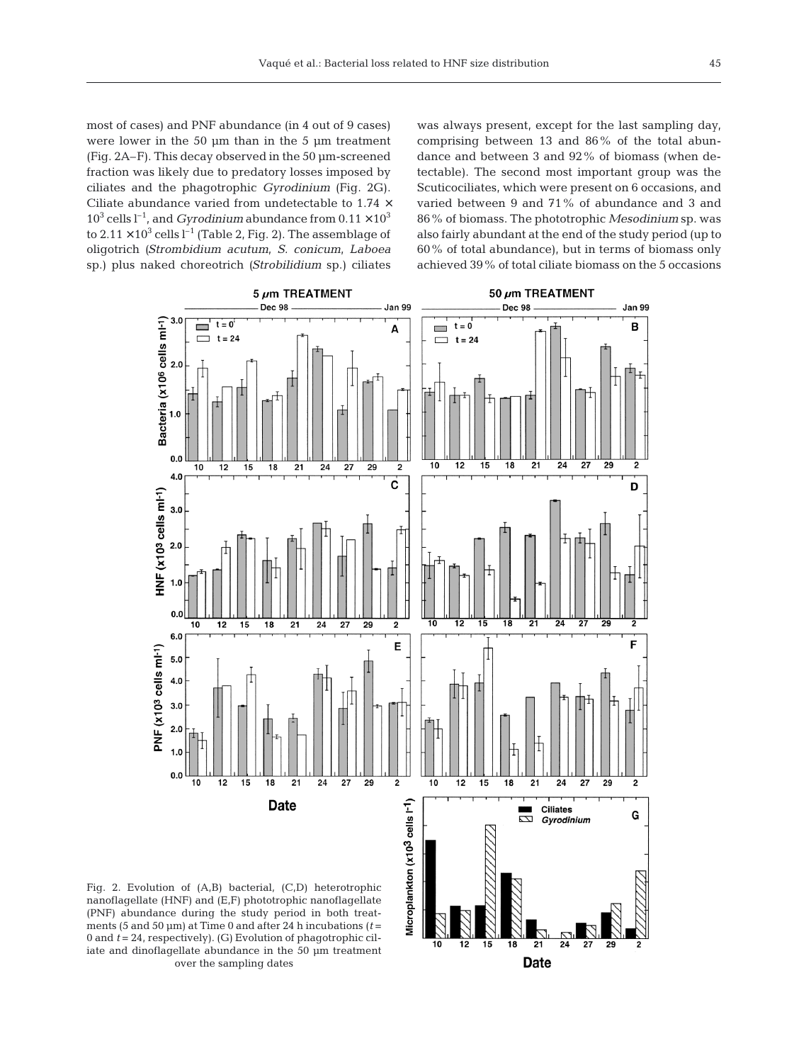most of cases) and PNF abundance (in 4 out of 9 cases) were lower in the 50 µm than in the 5 µm treatment (Fig. 2A–F). This decay observed in the 50 µm-screened fraction was likely due to predatory losses imposed by ciliates and the phagotrophic *Gyrodinium* (Fig. 2G). Ciliate abundance varied from undetectable to 1.74 ×  $10^3$  cells  $l^{-1}$ , and *Gyrodinium* abundance from  $0.11 \times 10^3$ to  $2.11 \times 10^3$  cells  $l^{-1}$  (Table 2, Fig. 2). The assemblage of oligotrich *(Strombidium acutum, S. conicum, Laboea* sp.) plus naked choreotrich *(Strobilidium* sp.) ciliates

was always present, except for the last sampling day, comprising between 13 and 86% of the total abundance and between 3 and 92% of biomass (when detectable). The second most important group was the Scuticociliates, which were present on 6 occasions, and varied between 9 and 71% of abundance and 3 and 86% of biomass. The phototrophic *Mesodinium* sp. was also fairly abundant at the end of the study period (up to 60% of total abundance), but in terms of biomass only achieved 39% of total ciliate biomass on the 5 occasions



10 12 15 18  $21$ **Date** 

nanoflagellate (HNF) and (E,F) phototrophic nanoflagellate (PNF) abundance during the study period in both treatments (5 and 50 µm) at Time 0 and after 24 h incubations (*t* = 0 and *t* = 24, respectively). (G) Evolution of phagotrophic ciliate and dinoflagellate abundance in the 50 µm treatment over the sampling dates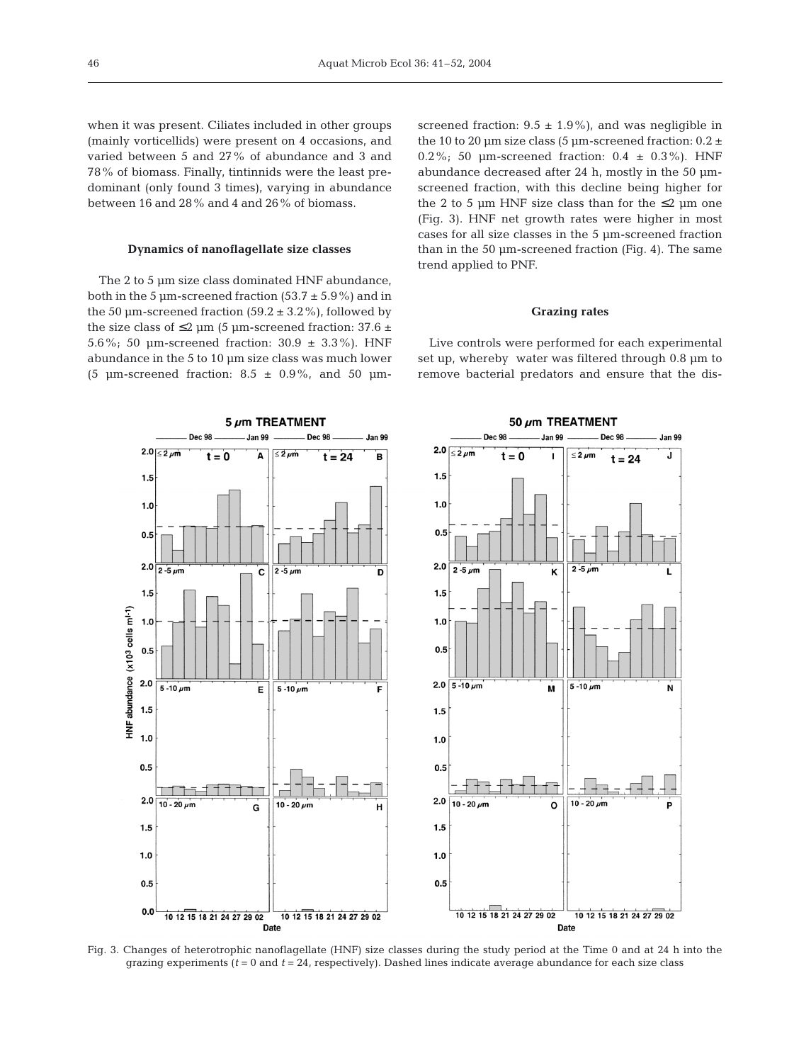when it was present. Ciliates included in other groups (mainly vorticellids) were present on 4 occasions, and varied between 5 and 27% of abundance and 3 and 78% of biomass. Finally, tintinnids were the least predominant (only found 3 times), varying in abundance between 16 and 28% and 4 and 26% of biomass.

# **Dynamics of nanoflagellate size classes**

The 2 to 5 µm size class dominated HNF abundance, both in the 5  $\mu$ m-screened fraction (53.7  $\pm$  5.9%) and in the 50  $\mu$ m-screened fraction (59.2  $\pm$  3.2%), followed by the size class of  $\leq$ 2 µm (5 µm-screened fraction: 37.6 ± 5.6%; 50  $\mu$ m-screened fraction: 30.9  $\pm$  3.3%). HNF abundance in the 5 to 10 µm size class was much lower (5  $\mu$ m-screened fraction: 8.5  $\pm$  0.9%, and 50  $\mu$ m-

5 um TREATMENT

 $\leq 2 \mu m$ 

Dec 98

 $t - 24$ 

Jan 99

Ъ

'n

Jon 00

Ά

c  $2 - 5 \mu m$ 

Dec 98

 $t = 0$ 

 $2.0 \leq 2 \mu m$ 

 $1.5$ 

 $1.0$ 

 $0.5$ 

 $1.5$ 

 $1.0$ 

 $2.0\frac{1}{2.5\mu m}$ 

screened fraction:  $9.5 \pm 1.9\%$ ), and was negligible in the 10 to 20  $\mu$ m size class (5  $\mu$ m-screened fraction: 0.2  $\pm$ 0.2%; 50 um-screened fraction:  $0.4 \pm 0.3$ %). HNF abundance decreased after 24 h, mostly in the 50 µmscreened fraction, with this decline being higher for the 2 to 5 µm HNF size class than for the  $\leq$ 2 µm one (Fig. 3). HNF net growth rates were higher in most cases for all size classes in the 5 µm-screened fraction than in the 50 µm-screened fraction (Fig. 4). The same trend applied to PNF.

## **Grazing rates**

Live controls were performed for each experimental set up, whereby water was filtered through 0.8 µm to remove bacterial predators and ensure that the dis-

50 um TREATMENT

 $\frac{1}{2}$  um

 $2 - 5 \mu m$ 

 $t = 24$ 

Jan 99

Ĵ.

Jan 99

 $\kappa$ 

Dec 98

 $t = 0$ 

 $2.0$  $\leq 2 \text{ nm}$ 

 $1.5$ 

 $1.0$ 

 $0.5$ 

 $2.0$  $2 - 5 \mu m$ 

 $1.5$ 

 $1.0$ 



Fig. 3. Changes of heterotrophic nanoflagellate (HNF) size classes during the study period at the Time 0 and at 24 h into the grazing experiments  $(t = 0$  and  $t = 24$ , respectively). Dashed lines indicate average abundance for each size class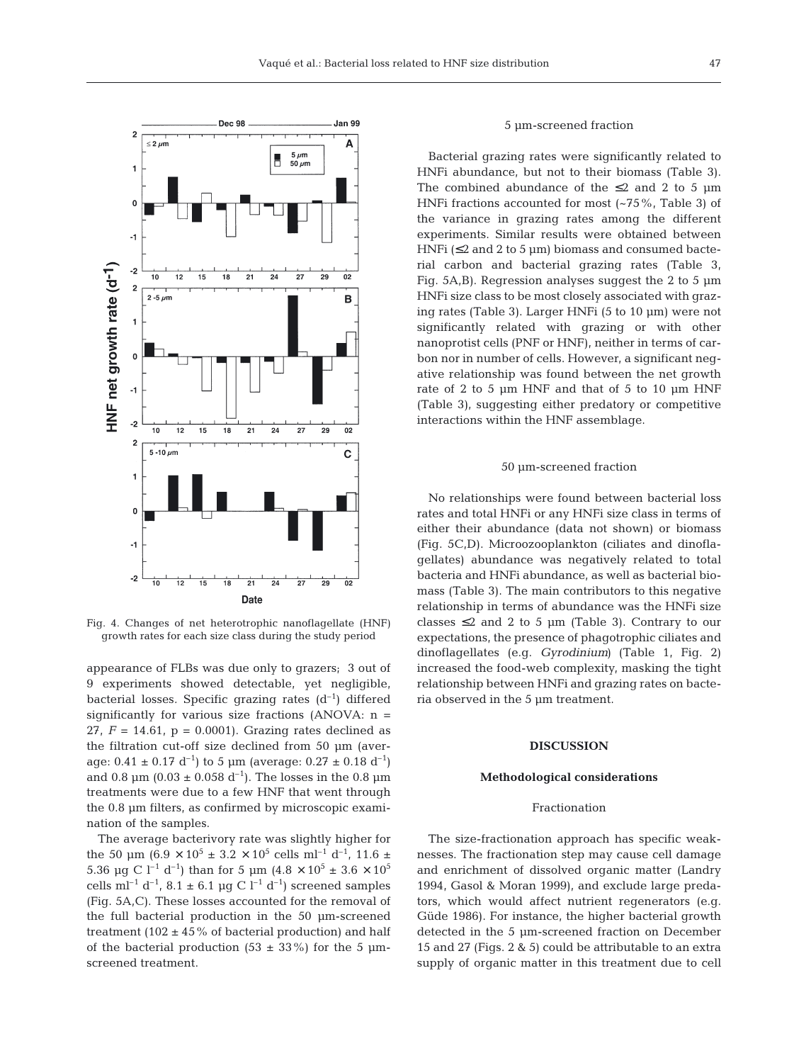

Fig. 4. Changes of net heterotrophic nanoflagellate (HNF) growth rates for each size class during the study period

appearance of FLBs was due only to grazers; 3 out of 9 experiments showed detectable, yet negligible, bacterial losses. Specific grazing rates  $(d^{-1})$  differed significantly for various size fractions  $(ANOVA: n =$ 27,  $F = 14.61$ ,  $p = 0.0001$ ). Grazing rates declined as the filtration cut-off size declined from 50 µm (average:  $0.41 \pm 0.17 \text{ d}^{-1}$ ) to 5 µm (average:  $0.27 \pm 0.18 \text{ d}^{-1}$ ) and 0.8  $\mu$ m (0.03 ± 0.058 d<sup>-1</sup>). The losses in the 0.8  $\mu$ m treatments were due to a few HNF that went through the 0.8 µm filters, as confirmed by microscopic examination of the samples.

The average bacterivory rate was slightly higher for the 50 µm (6.9  $\times$  10<sup>5</sup>  $\pm$  3.2  $\times$  10<sup>5</sup> cells ml<sup>-1</sup> d<sup>-1</sup>, 11.6  $\pm$ 5.36 µg C l<sup>-1</sup> d<sup>-1</sup>) than for 5 µm (4.8  $\times$  10<sup>5</sup> ± 3.6  $\times$  10<sup>5</sup> cells ml<sup>-1</sup> d<sup>-1</sup>, 8.1  $\pm$  6.1 µg C l<sup>-1</sup> d<sup>-1</sup>) screened samples (Fig. 5A,C). These losses accounted for the removal of the full bacterial production in the 50 µm-screened treatment (102  $\pm$  45% of bacterial production) and half of the bacterial production (53  $\pm$  33%) for the 5 µmscreened treatment.

#### 5 µm-screened fraction

Bacterial grazing rates were significantly related to HNFi abundance, but not to their biomass (Table 3). The combined abundance of the  $\leq 2$  and 2 to 5 µm HNFi fractions accounted for most (~75%, Table 3) of the variance in grazing rates among the different experiments. Similar results were obtained between HNFi ( $\leq$ 2 and 2 to 5 µm) biomass and consumed bacterial carbon and bacterial grazing rates (Table 3, Fig. 5A,B). Regression analyses suggest the 2 to 5 µm HNFi size class to be most closely associated with grazing rates (Table 3). Larger HNFi (5 to 10 µm) were not significantly related with grazing or with other nanoprotist cells (PNF or HNF), neither in terms of carbon nor in number of cells. However, a significant negative relationship was found between the net growth rate of 2 to 5 µm HNF and that of 5 to 10 µm HNF (Table 3), suggesting either predatory or competitive interactions within the HNF assemblage.

#### 50 µm-screened fraction

No relationships were found between bacterial loss rates and total HNFi or any HNFi size class in terms of either their abundance (data not shown) or biomass (Fig. 5C,D). Microozooplankton (ciliates and dinoflagellates) abundance was negatively related to total bacteria and HNFi abundance, as well as bacterial biomass (Table 3). The main contributors to this negative relationship in terms of abundance was the HNFi size classes  $\leq 2$  and 2 to 5 µm (Table 3). Contrary to our expectations, the presence of phagotrophic ciliates and dinoflagellates (e.g. *Gyrodinium)* (Table 1, Fig. 2) increased the food-web complexity, masking the tight relationship between HNFi and grazing rates on bacteria observed in the 5 µm treatment.

#### **DISCUSSION**

#### **Methodological considerations**

#### Fractionation

The size-fractionation approach has specific weaknesses. The fractionation step may cause cell damage and enrichment of dissolved organic matter (Landry 1994, Gasol & Moran 1999), and exclude large predators, which would affect nutrient regenerators (e.g. Güde 1986). For instance, the higher bacterial growth detected in the 5 µm-screened fraction on December 15 and 27 (Figs. 2 & 5) could be attributable to an extra supply of organic matter in this treatment due to cell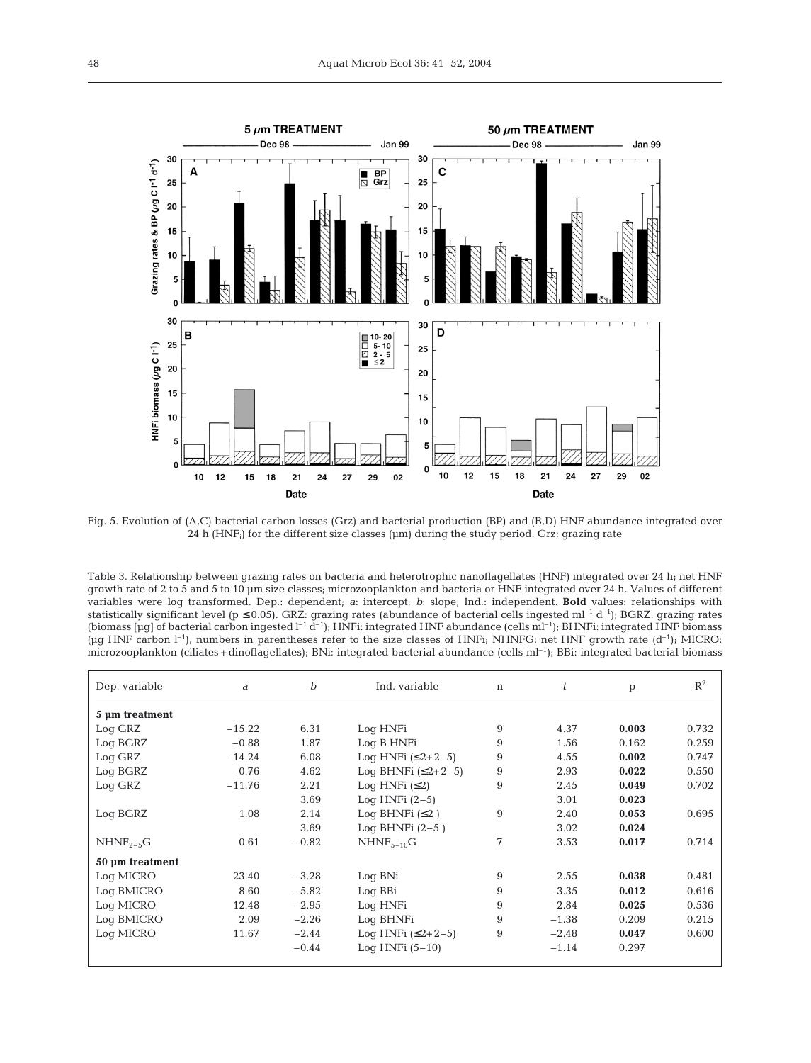

Fig. 5. Evolution of (A,C) bacterial carbon losses (Grz) and bacterial production (BP) and (B,D) HNF abundance integrated over 24 h  $(HNF<sub>i</sub>)$  for the different size classes ( $\mu$ m) during the study period. Grz: grazing rate

Table 3. Relationship between grazing rates on bacteria and heterotrophic nanoflagellates (HNF) integrated over 24 h; net HNF growth rate of 2 to 5 and 5 to 10 µm size classes; microzooplankton and bacteria or HNF integrated over 24 h. Values of different variables were log transformed. Dep.: dependent; *a*: intercept; *b*: slope; Ind.: independent. **Bold** values: relationships with statistically significant level ( $p \le 0.05$ ). GRZ: grazing rates (abundance of bacterial cells ingested ml<sup>-1</sup> d<sup>-1</sup>); BGRZ: grazing rates (biomass  $[\mu g]$  of bacterial carbon ingested  $l^{-1}$  d<sup>-1</sup>); HNFi: integrated HNF abundance (cells ml<sup>-1</sup>); BHNFi: integrated HNF biomass ( $\mu$ g HNF carbon l<sup>-1</sup>), numbers in parentheses refer to the size classes of HNFi; NHNFG: net HNF growth rate (d<sup>-1</sup>); MICRO: microzooplankton (ciliates + dinoflagellates); BNi: integrated bacterial abundance (cells ml<sup>-1</sup>); BBi: integrated bacterial biomass

| Dep. variable   | a        | $\boldsymbol{b}$ | Ind. variable        | n | t       | p     | $R^2$ |
|-----------------|----------|------------------|----------------------|---|---------|-------|-------|
| 5 µm treatment  |          |                  |                      |   |         |       |       |
| Log GRZ         | $-15.22$ | 6.31             | Log HNFi             | 9 | 4.37    | 0.003 | 0.732 |
| Log BGRZ        | $-0.88$  | 1.87             | Log B HNFi           | 9 | 1.56    | 0.162 | 0.259 |
| Log GRZ         | $-14.24$ | 6.08             | Log HNFi $(52+2-5)$  | 9 | 4.55    | 0.002 | 0.747 |
| Log BGRZ        | $-0.76$  | 4.62             | Log BHNFi $(52+2-5)$ | 9 | 2.93    | 0.022 | 0.550 |
| Log GRZ         | $-11.76$ | 2.21             | Log HNFi $(52)$      | 9 | 2.45    | 0.049 | 0.702 |
|                 |          | 3.69             | Loq HNFi $(2-5)$     |   | 3.01    | 0.023 |       |
| Log BGRZ        | 1.08     | 2.14             | Log BHNFi $(52)$     | 9 | 2.40    | 0.053 | 0.695 |
|                 |          | 3.69             | Log BHNFi $(2-5)$    |   | 3.02    | 0.024 |       |
| $NHNF2-5G$      | 0.61     | $-0.82$          | $NHNF_{5-10}G$       | 7 | $-3.53$ | 0.017 | 0.714 |
| 50 µm treatment |          |                  |                      |   |         |       |       |
| Log MICRO       | 23.40    | $-3.28$          | Log BNi              | 9 | $-2.55$ | 0.038 | 0.481 |
| Log BMICRO      | 8.60     | $-5.82$          | Log BBi              | 9 | $-3.35$ | 0.012 | 0.616 |
| Log MICRO       | 12.48    | $-2.95$          | Log HNFi             | 9 | $-2.84$ | 0.025 | 0.536 |
| Log BMICRO      | 2.09     | $-2.26$          | Log BHNFi            | 9 | $-1.38$ | 0.209 | 0.215 |
| Log MICRO       | 11.67    | $-2.44$          | Log HNFi $(52+2-5)$  | 9 | $-2.48$ | 0.047 | 0.600 |
|                 |          | $-0.44$          | Log HNFi $(5-10)$    |   | $-1.14$ | 0.297 |       |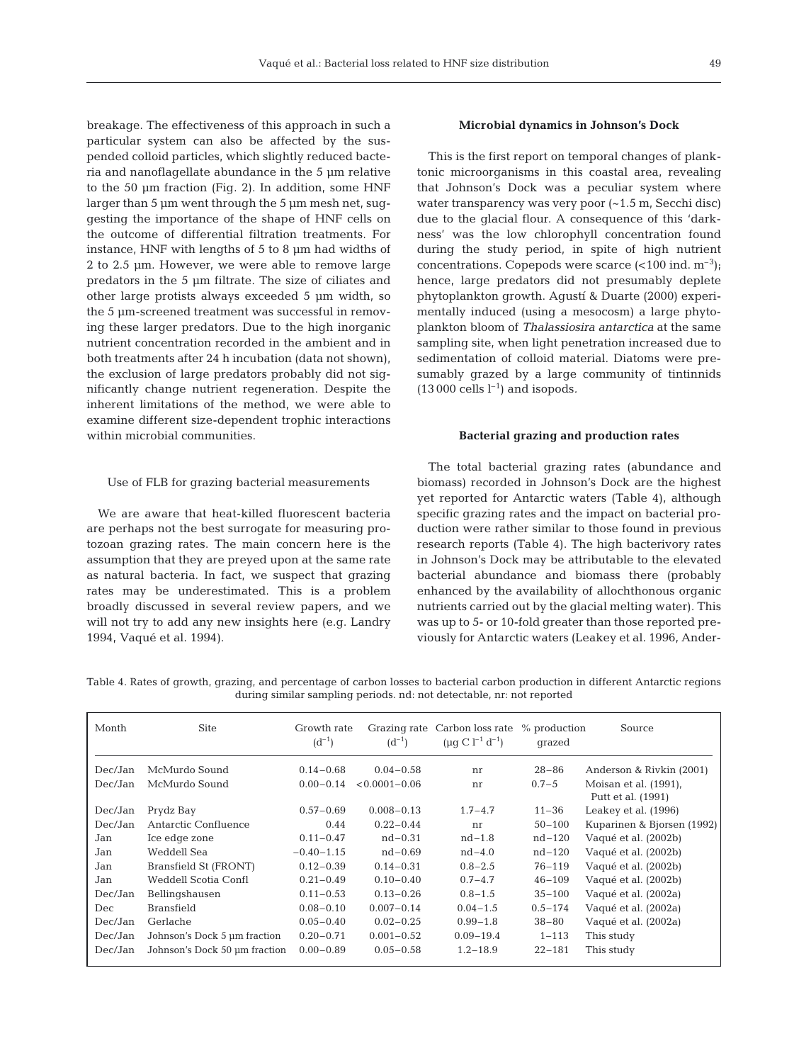breakage. The effectiveness of this approach in such a particular system can also be affected by the suspended colloid particles, which slightly reduced bacteria and nanoflagellate abundance in the 5 µm relative to the 50 µm fraction (Fig. 2). In addition, some HNF larger than 5 µm went through the 5 µm mesh net, suggesting the importance of the shape of HNF cells on the outcome of differential filtration treatments. For instance, HNF with lengths of 5 to 8 µm had widths of 2 to 2.5 µm. However, we were able to remove large predators in the 5 µm filtrate. The size of ciliates and other large protists always exceeded 5 µm width, so the 5 µm-screened treatment was successful in removing these larger predators. Due to the high inorganic nutrient concentration recorded in the ambient and in both treatments after 24 h incubation (data not shown), the exclusion of large predators probably did not significantly change nutrient regeneration. Despite the inherent limitations of the method, we were able to examine different size-dependent trophic interactions within microbial communities.

# Use of FLB for grazing bacterial measurements

We are aware that heat-killed fluorescent bacteria are perhaps not the best surrogate for measuring protozoan grazing rates. The main concern here is the assumption that they are preyed upon at the same rate as natural bacteria. In fact, we suspect that grazing rates may be underestimated. This is a problem broadly discussed in several review papers, and we will not try to add any new insights here (e.g. Landry 1994, Vaqué et al. 1994).

# **Microbial dynamics in Johnson's Dock**

This is the first report on temporal changes of planktonic microorganisms in this coastal area, revealing that Johnson's Dock was a peculiar system where water transparency was very poor (~1.5 m, Secchi disc) due to the glacial flour. A consequence of this 'darkness' was the low chlorophyll concentration found during the study period, in spite of high nutrient concentrations. Copepods were scarce  $\left($  < 100 ind. m<sup>-3</sup>); hence, large predators did not presumably deplete phytoplankton growth. Agustí & Duarte (2000) experimentally induced (using a mesocosm) a large phytoplankton bloom of *Thalassiosira antarctica* at the same sampling site, when light penetration increased due to sedimentation of colloid material. Diatoms were presumably grazed by a large community of tintinnids  $(13000 \text{ cells } l^{-1})$  and isopods.

# **Bacterial grazing and production rates**

The total bacterial grazing rates (abundance and biomass) recorded in Johnson's Dock are the highest yet reported for Antarctic waters (Table 4), although specific grazing rates and the impact on bacterial production were rather similar to those found in previous research reports (Table 4). The high bacterivory rates in Johnson's Dock may be attributable to the elevated bacterial abundance and biomass there (probably enhanced by the availability of allochthonous organic nutrients carried out by the glacial melting water). This was up to 5- or 10-fold greater than those reported previously for Antarctic waters (Leakey et al. 1996, Ander-

Table 4. Rates of growth, grazing, and percentage of carbon losses to bacterial carbon production in different Antarctic regions during similar sampling periods. nd: not detectable, nr: not reported

| Month   | <b>Site</b>                   | Growth rate<br>$(d^{-1})$ | $(d^{-1})$        | Grazing rate Carbon loss rate<br>$(\mu q C l^{-1} d^{-1})$ | % production<br>grazed | Source                                      |
|---------|-------------------------------|---------------------------|-------------------|------------------------------------------------------------|------------------------|---------------------------------------------|
| Dec/Jan | McMurdo Sound                 | $0.14 - 0.68$             | $0.04 - 0.58$     | nr                                                         | $28 - 86$              | Anderson & Rivkin (2001)                    |
| Dec/Jan | McMurdo Sound                 | $0.00 - 0.14$             | $< 0.0001 - 0.06$ | nr                                                         | $0.7 - 5$              | Moisan et al. (1991).<br>Putt et al. (1991) |
| Dec/Jan | Prydz Bay                     | $0.57 - 0.69$             | $0.008 - 0.13$    | $1.7 - 4.7$                                                | $11 - 36$              | Leakey et al. (1996)                        |
| Dec/Jan | Antarctic Confluence          | 0.44                      | $0.22 - 0.44$     | nr                                                         | $50 - 100$             | Kuparinen & Bjorsen (1992)                  |
| Jan     | Ice edge zone                 | $0.11 - 0.47$             | $nd - 0.31$       | $nd-1.8$                                                   | $nd-120$               | Vaqué et al. (2002b)                        |
| Jan     | Weddell Sea                   | $-0.40 - 1.15$            | $nd - 0.69$       | $nd-4.0$                                                   | $nd-120$               | Vaqué et al. (2002b)                        |
| Jan     | Bransfield St (FRONT)         | $0.12 - 0.39$             | $0.14 - 0.31$     | $0.8 - 2.5$                                                | $76 - 119$             | Vaqué et al. (2002b)                        |
| Jan     | Weddell Scotia Confl          | $0.21 - 0.49$             | $0.10 - 0.40$     | $0.7 - 4.7$                                                | $46 - 109$             | Vaqué et al. (2002b)                        |
| Dec/Jan | Bellingshausen                | $0.11 - 0.53$             | $0.13 - 0.26$     | $0.8 - 1.5$                                                | $35 - 100$             | Vaqué et al. (2002a)                        |
| Dec     | <b>Bransfield</b>             | $0.08 - 0.10$             | $0.007 - 0.14$    | $0.04 - 1.5$                                               | $0.5 - 174$            | Vaqué et al. (2002a)                        |
| Dec/Jan | Gerlache                      | $0.05 - 0.40$             | $0.02 - 0.25$     | $0.99 - 1.8$                                               | $38 - 80$              | Vaqué et al. (2002a)                        |
| Dec/Jan | Johnson's Dock 5 µm fraction  | $0.20 - 0.71$             | $0.001 - 0.52$    | $0.09 - 19.4$                                              | $1 - 113$              | This study                                  |
| Dec/Jan | Johnson's Dock 50 um fraction | $0.00 - 0.89$             | $0.05 - 0.58$     | $1.2 - 18.9$                                               | $22 - 181$             | This study                                  |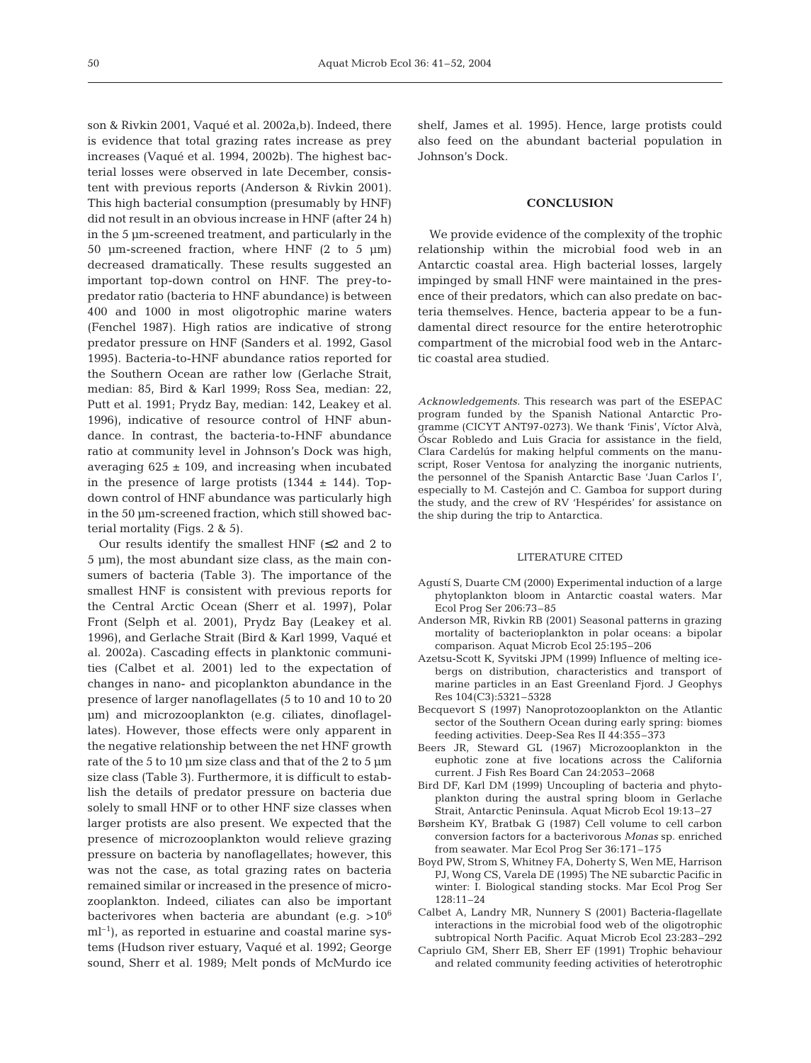son & Rivkin 2001, Vaqué et al. 2002a,b). Indeed, there is evidence that total grazing rates increase as prey increases (Vaqué et al. 1994, 2002b). The highest bacterial losses were observed in late December, consistent with previous reports (Anderson & Rivkin 2001). This high bacterial consumption (presumably by HNF) did not result in an obvious increase in HNF (after 24 h) in the 5 µm-screened treatment, and particularly in the 50  $\mu$ m-screened fraction, where HNF (2 to 5  $\mu$ m) decreased dramatically. These results suggested an important top-down control on HNF. The prey-topredator ratio (bacteria to HNF abundance) is between 400 and 1000 in most oligotrophic marine waters (Fenchel 1987). High ratios are indicative of strong predator pressure on HNF (Sanders et al. 1992, Gasol 1995). Bacteria-to-HNF abundance ratios reported for the Southern Ocean are rather low (Gerlache Strait, median: 85, Bird & Karl 1999; Ross Sea, median: 22, Putt et al. 1991; Prydz Bay, median: 142, Leakey et al. 1996), indicative of resource control of HNF abundance. In contrast, the bacteria-to-HNF abundance ratio at community level in Johnson's Dock was high, averaging  $625 \pm 109$ , and increasing when incubated in the presence of large protists  $(1344 \pm 144)$ . Topdown control of HNF abundance was particularly high in the 50 µm-screened fraction, which still showed bacterial mortality (Figs. 2 & 5).

Our results identify the smallest HNF  $(\leq 2$  and 2 to 5 µm), the most abundant size class, as the main consumers of bacteria (Table 3). The importance of the smallest HNF is consistent with previous reports for the Central Arctic Ocean (Sherr et al. 1997), Polar Front (Selph et al. 2001), Prydz Bay (Leakey et al. 1996), and Gerlache Strait (Bird & Karl 1999, Vaqué et al. 2002a). Cascading effects in planktonic communities (Calbet et al. 2001) led to the expectation of changes in nano- and picoplankton abundance in the presence of larger nanoflagellates (5 to 10 and 10 to 20 µm) and microzooplankton (e.g. ciliates, dinoflagellates). However, those effects were only apparent in the negative relationship between the net HNF growth rate of the 5 to 10  $\mu$ m size class and that of the 2 to 5  $\mu$ m size class (Table 3). Furthermore, it is difficult to establish the details of predator pressure on bacteria due solely to small HNF or to other HNF size classes when larger protists are also present. We expected that the presence of microzooplankton would relieve grazing pressure on bacteria by nanoflagellates; however, this was not the case, as total grazing rates on bacteria remained similar or increased in the presence of microzooplankton. Indeed, ciliates can also be important bacterivores when bacteria are abundant (e.g.  $>10^6$ )  $ml<sup>-1</sup>$ , as reported in estuarine and coastal marine systems (Hudson river estuary, Vaqué et al. 1992; George sound, Sherr et al. 1989; Melt ponds of McMurdo ice

shelf, James et al. 1995). Hence, large protists could also feed on the abundant bacterial population in Johnson's Dock.

# **CONCLUSION**

We provide evidence of the complexity of the trophic relationship within the microbial food web in an Antarctic coastal area. High bacterial losses, largely impinged by small HNF were maintained in the presence of their predators, which can also predate on bacteria themselves. Hence, bacteria appear to be a fundamental direct resource for the entire heterotrophic compartment of the microbial food web in the Antarctic coastal area studied.

*Acknowledgements.* This research was part of the ESEPAC program funded by the Spanish National Antarctic Programme (CICYT ANT97-0273). We thank 'Finis', Víctor Alvà, Óscar Robledo and Luis Gracia for assistance in the field, Clara Cardelús for making helpful comments on the manuscript, Roser Ventosa for analyzing the inorganic nutrients, the personnel of the Spanish Antarctic Base 'Juan Carlos I', especially to M. Castejón and C. Gamboa for support during the study, and the crew of RV 'Hespérides' for assistance on the ship during the trip to Antarctica.

#### LITERATURE CITED

- Agustí S, Duarte CM (2000) Experimental induction of a large phytoplankton bloom in Antarctic coastal waters. Mar Ecol Prog Ser 206:73–85
- Anderson MR, Rivkin RB (2001) Seasonal patterns in grazing mortality of bacterioplankton in polar oceans: a bipolar comparison. Aquat Microb Ecol 25:195–206
- Azetsu-Scott K, Syvitski JPM (1999) Influence of melting icebergs on distribution, characteristics and transport of marine particles in an East Greenland Fjord. J Geophys Res 104(C3):5321–5328
- Becquevort S (1997) Nanoprotozooplankton on the Atlantic sector of the Southern Ocean during early spring: biomes feeding activities. Deep-Sea Res II 44:355–373
- Beers JR, Steward GL (1967) Microzooplankton in the euphotic zone at five locations across the California current. J Fish Res Board Can 24:2053–2068
- Bird DF, Karl DM (1999) Uncoupling of bacteria and phytoplankton during the austral spring bloom in Gerlache Strait, Antarctic Peninsula. Aquat Microb Ecol 19:13–27
- Børsheim KY, Bratbak G (1987) Cell volume to cell carbon conversion factors for a bacterivorous *Monas* sp. enriched from seawater. Mar Ecol Prog Ser 36:171–175
- Boyd PW, Strom S, Whitney FA, Doherty S, Wen ME, Harrison PJ, Wong CS, Varela DE (1995) The NE subarctic Pacific in winter: I. Biological standing stocks. Mar Ecol Prog Ser 128:11–24
- Calbet A, Landry MR, Nunnery S (2001) Bacteria-flagellate interactions in the microbial food web of the oligotrophic subtropical North Pacific. Aquat Microb Ecol 23:283–292
- Capriulo GM, Sherr EB, Sherr EF (1991) Trophic behaviour and related community feeding activities of heterotrophic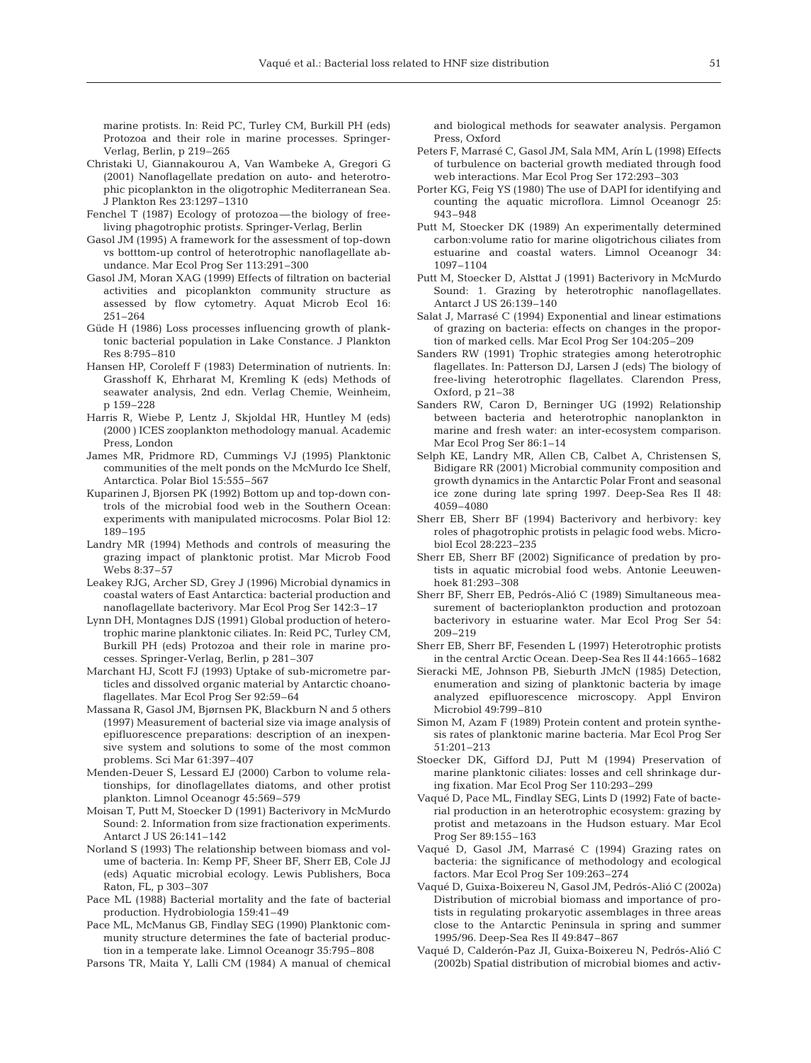marine protists. In: Reid PC, Turley CM, Burkill PH (eds) Protozoa and their role in marine processes. Springer-Verlag, Berlin, p 219–265

- Christaki U, Giannakourou A, Van Wambeke A, Gregori G (2001) Nanoflagellate predation on auto- and heterotrophic picoplankton in the oligotrophic Mediterranean Sea. J Plankton Res 23:1297–1310
- Fenchel T (1987) Ecology of protozoa—the biology of freeliving phagotrophic protist*s*. Springer-Verlag, Berlin
- Gasol JM (1995) A framework for the assessment of top-down vs botttom-up control of heterotrophic nanoflagellate abundance. Mar Ecol Prog Ser 113:291–300
- Gasol JM, Moran XAG (1999) Effects of filtration on bacterial activities and picoplankton community structure as assessed by flow cytometry. Aquat Microb Ecol 16: 251–264
- Güde H (1986) Loss processes influencing growth of planktonic bacterial population in Lake Constance. J Plankton Res 8:795–810
- Hansen HP, Coroleff F (1983) Determination of nutrients. In: Grasshoff K, Ehrharat M, Kremling K (eds) Methods of seawater analysis, 2nd edn. Verlag Chemie, Weinheim, p 159–228
- Harris R, Wiebe P, Lentz J, Skjoldal HR, Huntley M (eds) (2000 ) ICES zooplankton methodology manual. Academic Press, London
- James MR, Pridmore RD, Cummings VJ (1995) Planktonic communities of the melt ponds on the McMurdo Ice Shelf, Antarctica. Polar Biol 15:555–567
- Kuparinen J, Bjorsen PK (1992) Bottom up and top-down controls of the microbial food web in the Southern Ocean: experiments with manipulated microcosms. Polar Biol 12: 189–195
- Landry MR (1994) Methods and controls of measuring the grazing impact of planktonic protist. Mar Microb Food Webs 8:37–57
- Leakey RJG, Archer SD, Grey J (1996) Microbial dynamics in coastal waters of East Antarctica: bacterial production and nanoflagellate bacterivory. Mar Ecol Prog Ser 142:3–17
- Lynn DH, Montagnes DJS (1991) Global production of heterotrophic marine planktonic ciliates. In: Reid PC, Turley CM, Burkill PH (eds) Protozoa and their role in marine processes. Springer-Verlag, Berlin, p 281–307
- Marchant HJ, Scott FJ (1993) Uptake of sub-micrometre particles and dissolved organic material by Antarctic choanoflagellates. Mar Ecol Prog Ser 92:59–64
- Massana R, Gasol JM, Bjørnsen PK, Blackburn N and 5 others (1997) Measurement of bacterial size via image analysis of epifluorescence preparations: description of an inexpensive system and solutions to some of the most common problems. Sci Mar 61:397–407
- Menden-Deuer S, Lessard EJ (2000) Carbon to volume relationships, for dinoflagellates diatoms, and other protist plankton. Limnol Oceanogr 45:569–579
- Moisan T, Putt M, Stoecker D (1991) Bacterivory in McMurdo Sound: 2. Information from size fractionation experiments. Antarct J US 26:141–142
- Norland S (1993) The relationship between biomass and volume of bacteria. In: Kemp PF, Sheer BF, Sherr EB, Cole JJ (eds) Aquatic microbial ecology. Lewis Publishers, Boca Raton, FL, p 303–307
- Pace ML (1988) Bacterial mortality and the fate of bacterial production. Hydrobiologia 159:41–49
- Pace ML, McManus GB, Findlay SEG (1990) Planktonic community structure determines the fate of bacterial production in a temperate lake. Limnol Oceanogr 35:795–808
- Parsons TR, Maita Y, Lalli CM (1984) A manual of chemical

and biological methods for seawater analysis. Pergamon Press, Oxford

- Peters F, Marrasé C, Gasol JM, Sala MM, Arín L (1998) Effects of turbulence on bacterial growth mediated through food web interactions. Mar Ecol Prog Ser 172:293–303
- Porter KG, Feig YS (1980) The use of DAPI for identifying and counting the aquatic microflora. Limnol Oceanogr 25: 943–948
- Putt M, Stoecker DK (1989) An experimentally determined carbon:volume ratio for marine oligotrichous ciliates from estuarine and coastal waters. Limnol Oceanogr 34: 1097–1104
- Putt M, Stoecker D, Alsttat J (1991) Bacterivory in McMurdo Sound: 1. Grazing by heterotrophic nanoflagellates. Antarct J US 26:139–140
- Salat J, Marrasé C (1994) Exponential and linear estimations of grazing on bacteria: effects on changes in the proportion of marked cells. Mar Ecol Prog Ser 104:205–209
- Sanders RW (1991) Trophic strategies among heterotrophic flagellates. In: Patterson DJ, Larsen J (eds) The biology of free-living heterotrophic flagellates. Clarendon Press, Oxford, p 21–38
- Sanders RW, Caron D, Berninger UG (1992) Relationship between bacteria and heterotrophic nanoplankton in marine and fresh water: an inter-ecosystem comparison. Mar Ecol Prog Ser 86:1–14
- Selph KE, Landry MR, Allen CB, Calbet A, Christensen S, Bidigare RR (2001) Microbial community composition and growth dynamics in the Antarctic Polar Front and seasonal ice zone during late spring 1997. Deep-Sea Res II 48: 4059–4080
- Sherr EB, Sherr BF (1994) Bacterivory and herbivory: key roles of phagotrophic protists in pelagic food webs. Microbiol Ecol 28:223–235
- Sherr EB, Sherr BF (2002) Significance of predation by protists in aquatic microbial food webs. Antonie Leeuwenhoek 81:293–308
- Sherr BF, Sherr EB, Pedrós-Alió C (1989) Simultaneous measurement of bacterioplankton production and protozoan bacterivory in estuarine water. Mar Ecol Prog Ser 54: 209–219
- Sherr EB, Sherr BF, Fesenden L (1997) Heterotrophic protists in the central Arctic Ocean. Deep-Sea Res II 44:1665–1682
- Sieracki ME, Johnson PB, Sieburth JMcN (1985) Detection, enumeration and sizing of planktonic bacteria by image analyzed epifluorescence microscopy. Appl Environ Microbiol 49:799–810
- Simon M, Azam F (1989) Protein content and protein synthesis rates of planktonic marine bacteria. Mar Ecol Prog Ser 51:201–213
- Stoecker DK, Gifford DJ, Putt M (1994) Preservation of marine planktonic ciliates: losses and cell shrinkage during fixation. Mar Ecol Prog Ser 110:293–299
- Vaqué D, Pace ML, Findlay SEG, Lints D (1992) Fate of bacterial production in an heterotrophic ecosystem: grazing by protist and metazoans in the Hudson estuary. Mar Ecol Prog Ser 89:155–163
- Vaqué D, Gasol JM, Marrasé C (1994) Grazing rates on bacteria: the significance of methodology and ecological factors. Mar Ecol Prog Ser 109:263–274
- Vaqué D, Guixa-Boixereu N, Gasol JM, Pedrós-Alió C (2002a) Distribution of microbial biomass and importance of protists in regulating prokaryotic assemblages in three areas close to the Antarctic Peninsula in spring and summer 1995/96. Deep-Sea Res II 49:847–867
- Vaqué D, Calderón-Paz JI, Guixa-Boixereu N, Pedrós-Alió C (2002b) Spatial distribution of microbial biomes and activ-